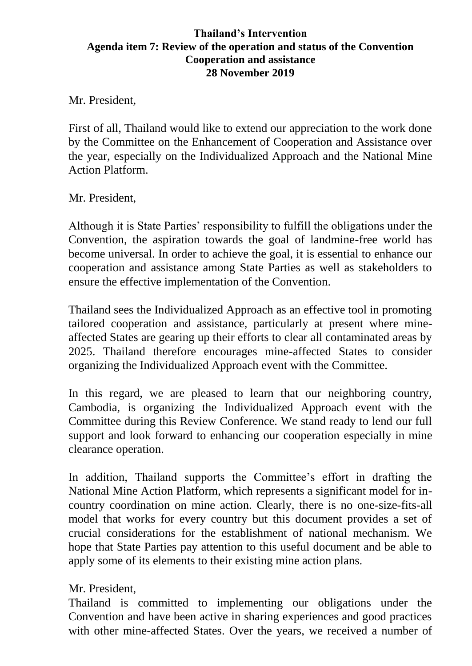## **Thailand's Intervention Agenda item 7: Review of the operation and status of the Convention Cooperation and assistance 28 November 2019**

Mr. President,

First of all, Thailand would like to extend our appreciation to the work done by the Committee on the Enhancement of Cooperation and Assistance over the year, especially on the Individualized Approach and the National Mine Action Platform.

Mr. President,

Although it is State Parties' responsibility to fulfill the obligations under the Convention, the aspiration towards the goal of landmine-free world has become universal. In order to achieve the goal, it is essential to enhance our cooperation and assistance among State Parties as well as stakeholders to ensure the effective implementation of the Convention.

Thailand sees the Individualized Approach as an effective tool in promoting tailored cooperation and assistance, particularly at present where mineaffected States are gearing up their efforts to clear all contaminated areas by 2025. Thailand therefore encourages mine-affected States to consider organizing the Individualized Approach event with the Committee.

In this regard, we are pleased to learn that our neighboring country, Cambodia, is organizing the Individualized Approach event with the Committee during this Review Conference. We stand ready to lend our full support and look forward to enhancing our cooperation especially in mine clearance operation.

In addition, Thailand supports the Committee's effort in drafting the National Mine Action Platform, which represents a significant model for incountry coordination on mine action. Clearly, there is no one-size-fits-all model that works for every country but this document provides a set of crucial considerations for the establishment of national mechanism. We hope that State Parties pay attention to this useful document and be able to apply some of its elements to their existing mine action plans.

## Mr. President,

Thailand is committed to implementing our obligations under the Convention and have been active in sharing experiences and good practices with other mine-affected States. Over the years, we received a number of